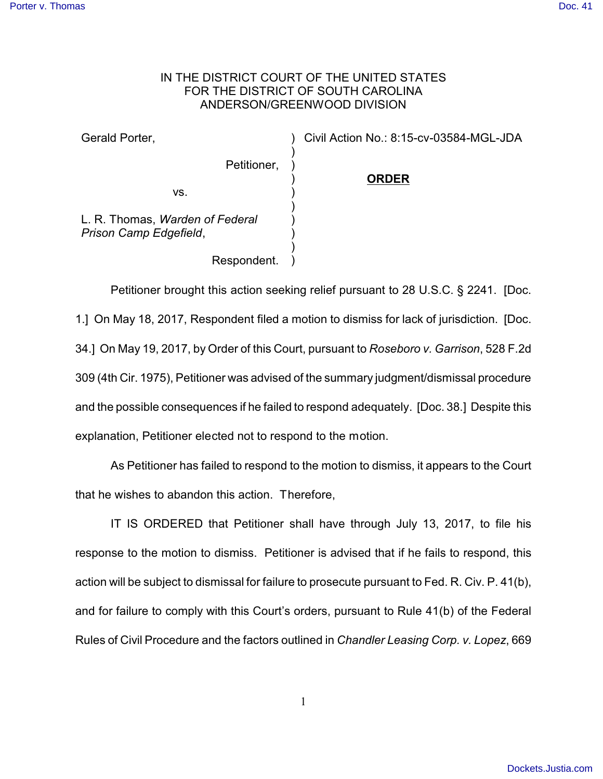## IN THE DISTRICT COURT OF THE UNITED STATES FOR THE DISTRICT OF SOUTH CAROLINA ANDERSON/GREENWOOD DIVISION

) ) ) ) ) ) ) ) ) )

Gerald Porter,

Civil Action No.: 8:15-cv-03584-MGL-JDA

vs.

**ORDER**

L. R. Thomas, *Warden of Federal Prison Camp Edgefield*,

Respondent.

Petitioner,

Petitioner brought this action seeking relief pursuant to 28 U.S.C. § 2241. [Doc. 1.] On May 18, 2017, Respondent filed a motion to dismiss for lack of jurisdiction. [Doc. 34.] On May 19, 2017, by Order of this Court, pursuant to *Roseboro v. Garrison*, 528 F.2d 309 (4th Cir. 1975), Petitioner was advised of the summary judgment/dismissal procedure and the possible consequences if he failed to respond adequately. [Doc. 38.] Despite this explanation, Petitioner elected not to respond to the motion.

As Petitioner has failed to respond to the motion to dismiss, it appears to the Court that he wishes to abandon this action. Therefore,

IT IS ORDERED that Petitioner shall have through July 13, 2017, to file his response to the motion to dismiss. Petitioner is advised that if he fails to respond, this action will be subject to dismissal for failure to prosecute pursuant to Fed. R. Civ. P. 41(b), and for failure to comply with this Court's orders, pursuant to Rule 41(b) of the Federal Rules of Civil Procedure and the factors outlined in *Chandler Leasing Corp. v. Lopez*, 669